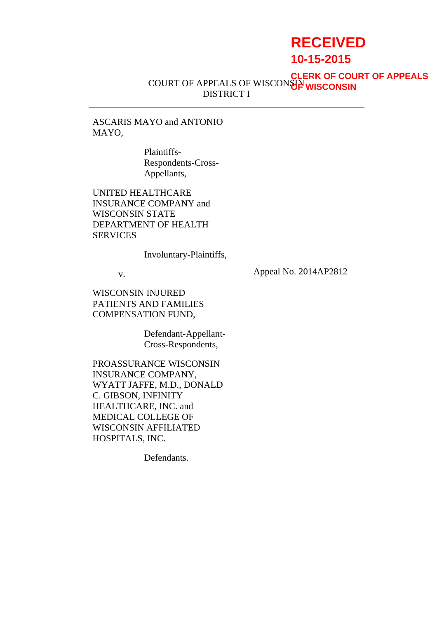# **RECEIVED**

**10-15-2015**

COURT OF APPEALS OF WISCONSIN DISTRICT I **CLERK OF COURT OF APPEALS OF WISCONSIN**

ASCARIS MAYO and ANTONIO MAYO,

> Plaintiffs-Respondents-Cross-Appellants,

UNITED HEALTHCARE INSURANCE COMPANY and WISCONSIN STATE DEPARTMENT OF HEALTH **SERVICES** 

Involuntary-Plaintiffs,

v.

Appeal No. 2014AP2812

WISCONSIN INJURED PATIENTS AND FAMILIES COMPENSATION FUND,

> Defendant-Appellant-Cross-Respondents,

PROASSURANCE WISCONSIN INSURANCE COMPANY, WYATT JAFFE, M.D., DONALD C. GIBSON, INFINITY HEALTHCARE, INC. and MEDICAL COLLEGE OF WISCONSIN AFFILIATED HOSPITALS, INC.

Defendants.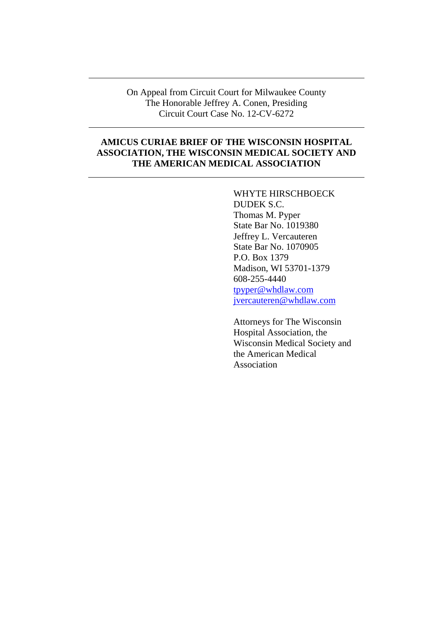On Appeal from Circuit Court for Milwaukee County The Honorable Jeffrey A. Conen, Presiding Circuit Court Case No. 12-CV-6272

## **AMICUS CURIAE BRIEF OF THE WISCONSIN HOSPITAL ASSOCIATION, THE WISCONSIN MEDICAL SOCIETY AND THE AMERICAN MEDICAL ASSOCIATION**

WHYTE HIRSCHBOECK DUDEK S.C. Thomas M. Pyper State Bar No. 1019380 Jeffrey L. Vercauteren State Bar No. 1070905 P.O. Box 1379 Madison, WI 53701-1379 608-255-4440 tpyper@whdlaw.com jvercauteren@whdlaw.com

Attorneys for The Wisconsin Hospital Association, the Wisconsin Medical Society and the American Medical Association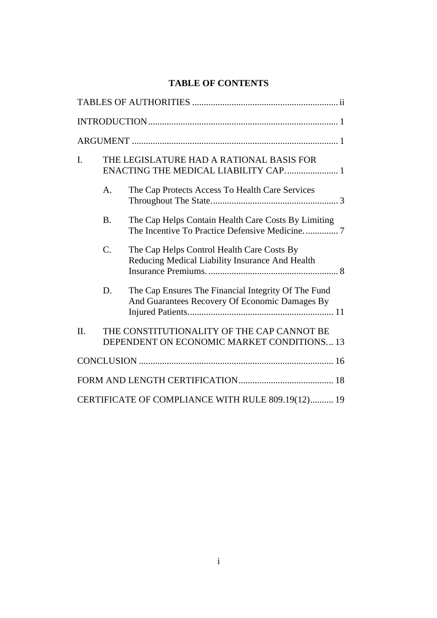# **TABLE OF CONTENTS**

| $\mathbf{I}$ . | THE LEGISLATURE HAD A RATIONAL BASIS FOR<br>ENACTING THE MEDICAL LIABILITY CAP 1 |                                                                                                       |
|----------------|----------------------------------------------------------------------------------|-------------------------------------------------------------------------------------------------------|
|                | A.                                                                               | The Cap Protects Access To Health Care Services                                                       |
|                | <b>B.</b>                                                                        | The Cap Helps Contain Health Care Costs By Limiting                                                   |
|                | $C$ .                                                                            | The Cap Helps Control Health Care Costs By<br>Reducing Medical Liability Insurance And Health         |
|                | D.                                                                               | The Cap Ensures The Financial Integrity Of The Fund<br>And Guarantees Recovery Of Economic Damages By |
| II.            |                                                                                  | THE CONSTITUTIONALITY OF THE CAP CANNOT BE<br>DEPENDENT ON ECONOMIC MARKET CONDITIONS 13              |
|                |                                                                                  |                                                                                                       |
|                |                                                                                  |                                                                                                       |
|                |                                                                                  | CERTIFICATE OF COMPLIANCE WITH RULE 809.19(12) 19                                                     |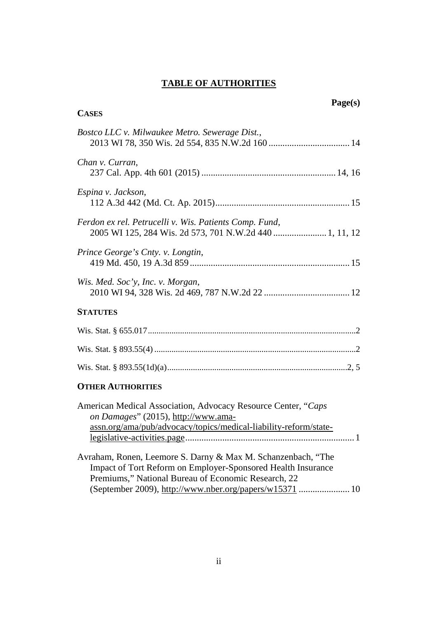# **TABLE OF AUTHORITIES**

| <b>CASES</b>                                                                                                                                                                        | Page(s) |
|-------------------------------------------------------------------------------------------------------------------------------------------------------------------------------------|---------|
| Bostco LLC v. Milwaukee Metro. Sewerage Dist.,                                                                                                                                      |         |
| Chan v. Curran,                                                                                                                                                                     |         |
| Espina v. Jackson,                                                                                                                                                                  |         |
| Ferdon ex rel. Petrucelli v. Wis. Patients Comp. Fund,<br>2005 WI 125, 284 Wis. 2d 573, 701 N.W.2d 440  1, 11, 12                                                                   |         |
| Prince George's Cnty. v. Longtin,                                                                                                                                                   |         |
| Wis. Med. Soc'y, Inc. v. Morgan,                                                                                                                                                    |         |
| <b>STATUTES</b>                                                                                                                                                                     |         |
|                                                                                                                                                                                     |         |
|                                                                                                                                                                                     |         |
|                                                                                                                                                                                     |         |
| <b>OTHER AUTHORITIES</b>                                                                                                                                                            |         |
| American Medical Association, Advocacy Resource Center, "Caps<br>on Damages" (2015), http://www.ama-<br>assn.org/ama/pub/advocacy/topics/medical-liability-reform/state-            |         |
| Avraham, Ronen, Leemore S. Darny & Max M. Schanzenbach, "The<br>Impact of Tort Reform on Employer-Sponsored Health Insurance<br>Premiums," National Bureau of Economic Research, 22 |         |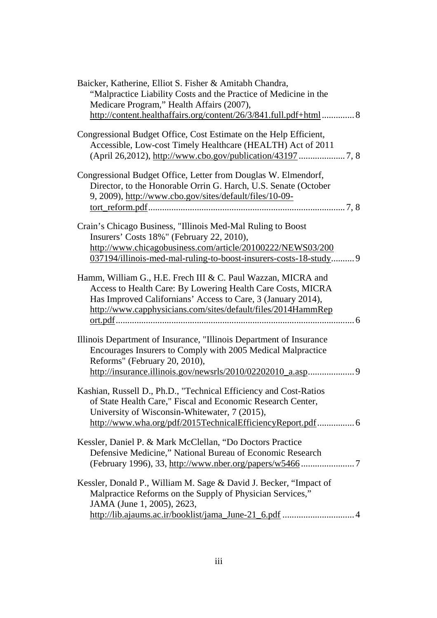| Baicker, Katherine, Elliot S. Fisher & Amitabh Chandra,<br>"Malpractice Liability Costs and the Practice of Medicine in the<br>Medicare Program," Health Affairs (2007),                                                                                    |
|-------------------------------------------------------------------------------------------------------------------------------------------------------------------------------------------------------------------------------------------------------------|
| http://content.healthaffairs.org/content/26/3/841.full.pdf+html 8                                                                                                                                                                                           |
| Congressional Budget Office, Cost Estimate on the Help Efficient,<br>Accessible, Low-cost Timely Healthcare (HEALTH) Act of 2011                                                                                                                            |
| Congressional Budget Office, Letter from Douglas W. Elmendorf,<br>Director, to the Honorable Orrin G. Harch, U.S. Senate (October<br>9, 2009), http://www.cbo.gov/sites/default/files/10-09-                                                                |
| Crain's Chicago Business, "Illinois Med-Mal Ruling to Boost"<br>Insurers' Costs 18%" (February 22, 2010),<br>http://www.chicagobusiness.com/article/20100222/NEWS03/200<br>037194/illinois-med-mal-ruling-to-boost-insurers-costs-18-study 9                |
| Hamm, William G., H.E. Frech III & C. Paul Wazzan, MICRA and<br>Access to Health Care: By Lowering Health Care Costs, MICRA<br>Has Improved Californians' Access to Care, 3 (January 2014),<br>http://www.capphysicians.com/sites/default/files/2014HammRep |
| Illinois Department of Insurance, "Illinois Department of Insurance<br>Encourages Insurers to Comply with 2005 Medical Malpractice<br>Reforms" (February 20, 2010),                                                                                         |
| Kashian, Russell D., Ph.D., "Technical Efficiency and Cost-Ratios<br>of State Health Care," Fiscal and Economic Research Center,<br>University of Wisconsin-Whitewater, 7 (2015),<br>http://www.wha.org/pdf/2015TechnicalEfficiencyReport.pdf 6             |
| Kessler, Daniel P. & Mark McClellan, "Do Doctors Practice<br>Defensive Medicine," National Bureau of Economic Research                                                                                                                                      |
| Kessler, Donald P., William M. Sage & David J. Becker, "Impact of<br>Malpractice Reforms on the Supply of Physician Services,"<br>JAMA (June 1, 2005), 2623,                                                                                                |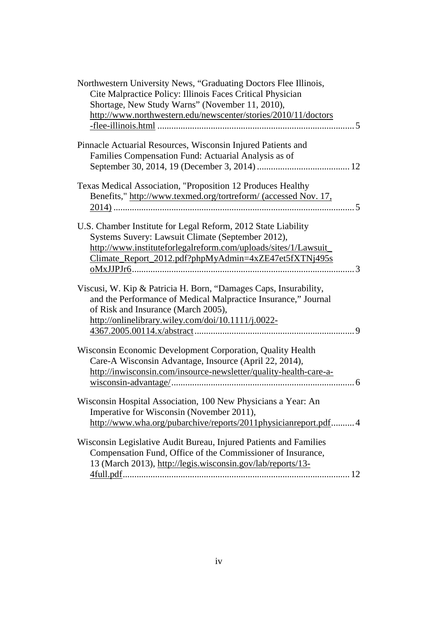| Northwestern University News, "Graduating Doctors Flee Illinois,  |
|-------------------------------------------------------------------|
| Cite Malpractice Policy: Illinois Faces Critical Physician        |
| Shortage, New Study Warns" (November 11, 2010),                   |
| http://www.northwestern.edu/newscenter/stories/2010/11/doctors    |
|                                                                   |
| Pinnacle Actuarial Resources, Wisconsin Injured Patients and      |
| Families Compensation Fund: Actuarial Analysis as of              |
|                                                                   |
| Texas Medical Association, "Proposition 12 Produces Healthy       |
| Benefits," http://www.texmed.org/tortreform/ (accessed Nov. 17,   |
|                                                                   |
| U.S. Chamber Institute for Legal Reform, 2012 State Liability     |
| Systems Suvery: Lawsuit Climate (September 2012),                 |
| http://www.instituteforlegalreform.com/uploads/sites/1/Lawsuit_   |
|                                                                   |
| Climate_Report_2012.pdf?phpMyAdmin=4xZE47et5fXTNj495s             |
|                                                                   |
| Viscusi, W. Kip & Patricia H. Born, "Damages Caps, Insurability,  |
| and the Performance of Medical Malpractice Insurance," Journal    |
| of Risk and Insurance (March 2005),                               |
| http://onlinelibrary.wiley.com/doi/10.1111/j.0022-                |
|                                                                   |
|                                                                   |
| Wisconsin Economic Development Corporation, Quality Health        |
| Care-A Wisconsin Advantage, Insource (April 22, 2014),            |
| http://inwisconsin.com/insource-newsletter/quality-health-care-a- |
|                                                                   |
|                                                                   |
| Wisconsin Hospital Association, 100 New Physicians a Year: An     |
| Imperative for Wisconsin (November 2011),                         |
| http://www.wha.org/pubarchive/reports/2011physicianreport.pdf 4   |
|                                                                   |
| Wisconsin Legislative Audit Bureau, Injured Patients and Families |
| Compensation Fund, Office of the Commissioner of Insurance,       |
| 13 (March 2013), http://legis.wisconsin.gov/lab/reports/13-       |
|                                                                   |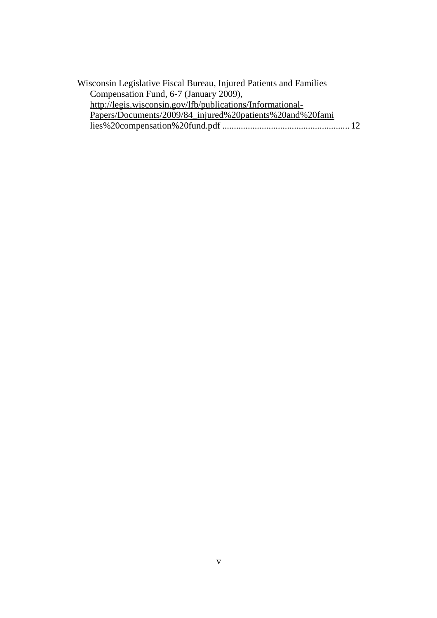| Wisconsin Legislative Fiscal Bureau, Injured Patients and Families |  |
|--------------------------------------------------------------------|--|
| Compensation Fund, 6-7 (January 2009),                             |  |
| http://legis.wisconsin.gov/lfb/publications/Informational-         |  |
| Papers/Documents/2009/84_injured%20patients%20and%20fami           |  |
|                                                                    |  |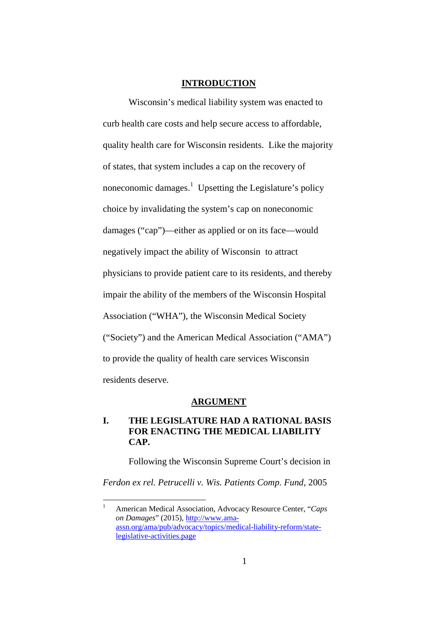#### **INTRODUCTION**

Wisconsin's medical liability system was enacted to curb health care costs and help secure access to affordable, quality health care for Wisconsin residents. Like the majority of states, that system includes a cap on the recovery of noneconomic damages.<sup>1</sup> Upsetting the Legislature's policy choice by invalidating the system's cap on noneconomic damages ("cap")—either as applied or on its face—would negatively impact the ability of Wisconsin to attract physicians to provide patient care to its residents, and thereby impair the ability of the members of the Wisconsin Hospital Association ("WHA"), the Wisconsin Medical Society ("Society") and the American Medical Association ("AMA") to provide the quality of health care services Wisconsin residents deserve.

#### **ARGUMENT**

## **I. THE LEGISLATURE HAD A RATIONAL BASIS FOR ENACTING THE MEDICAL LIABILITY CAP.**

Following the Wisconsin Supreme Court's decision in

*Ferdon ex rel. Petrucelli v. Wis. Patients Comp. Fund*, 2005

<sup>1</sup> American Medical Association, Advocacy Resource Center, "*Caps on Damages*" (2015), http://www.ama[assn.org/ama/pub/advocacy/topics/medical-liability-reform/state](http://www.ama-assn.org/ama/pub/advocacy/topics/medical-liability-reform/state-legislative-activities.page)legislative-activities.page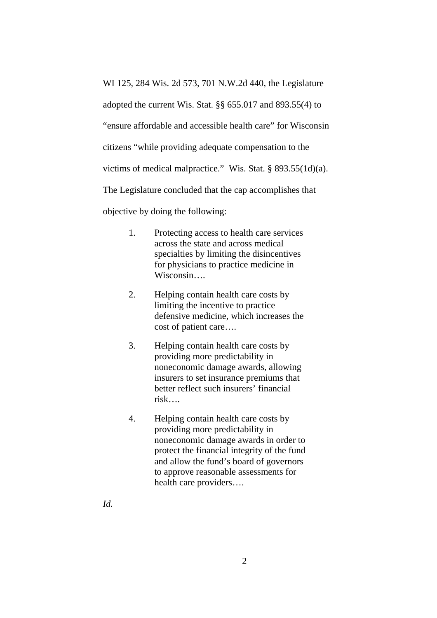WI 125, 284 Wis. 2d 573, 701 N.W.2d 440, the Legislature adopted the current Wis. Stat. §§ 655.017 and 893.55(4) to "ensure affordable and accessible health care" for Wisconsin citizens "while providing adequate compensation to the victims of medical malpractice." Wis. Stat. § 893.55(1d)(a). The Legislature concluded that the cap accomplishes that objective by doing the following:

- 1. Protecting access to health care services across the state and across medical specialties by limiting the disincentives for physicians to practice medicine in Wisconsin….
- 2. Helping contain health care costs by limiting the incentive to practice defensive medicine, which increases the cost of patient care….
- 3. Helping contain health care costs by providing more predictability in noneconomic damage awards, allowing insurers to set insurance premiums that better reflect such insurers' financial risk….
- 4. Helping contain health care costs by providing more predictability in noneconomic damage awards in order to protect the financial integrity of the fund and allow the fund's board of governors to approve reasonable assessments for health care providers….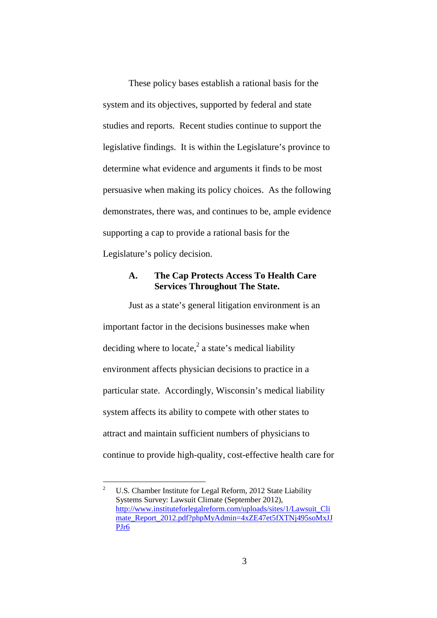These policy bases establish a rational basis for the system and its objectives, supported by federal and state studies and reports. Recent studies continue to support the legislative findings. It is within the Legislature's province to determine what evidence and arguments it finds to be most persuasive when making its policy choices. As the following demonstrates, there was, and continues to be, ample evidence supporting a cap to provide a rational basis for the Legislature's policy decision.

#### **A. The Cap Protects Access To Health Care Services Throughout The State.**

Just as a state's general litigation environment is an important factor in the decisions businesses make when deciding where to locate, $^2$  a state's medical liability environment affects physician decisions to practice in a particular state. Accordingly, Wisconsin's medical liability system affects its ability to compete with other states to attract and maintain sufficient numbers of physicians to continue to provide high-quality, cost-effective health care for

<sup>&</sup>lt;sup>2</sup> U.S. Chamber Institute for Legal Reform, 2012 State Liability Systems Survey: Lawsuit Climate (September 2012), http://www.instituteforlegalreform.com/uploads/sites/1/Lawsuit\_Cli mate\_Report\_2012.pdf?phpMyAdmin=4xZE47et5fXTNj495soMxJJ PJr6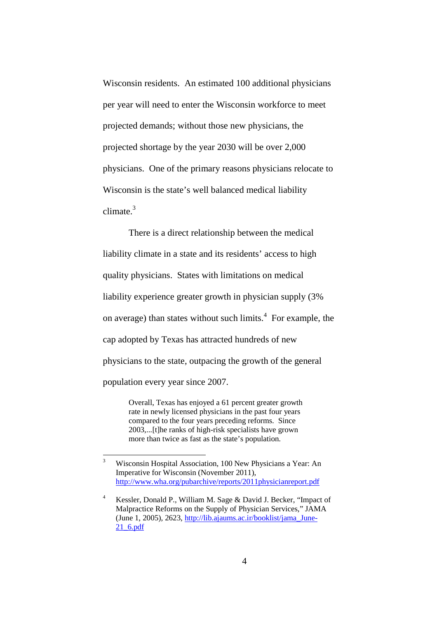Wisconsin residents. An estimated 100 additional physicians per year will need to enter the Wisconsin workforce to meet projected demands; without those new physicians, the projected shortage by the year 2030 will be over 2,000 physicians. One of the primary reasons physicians relocate to Wisconsin is the state's well balanced medical liability climate. $3$ 

There is a direct relationship between the medical liability climate in a state and its residents' access to high quality physicians. States with limitations on medical liability experience greater growth in physician supply (3% on average) than states without such limits.<sup>4</sup> For example, the cap adopted by Texas has attracted hundreds of new physicians to the state, outpacing the growth of the general population every year since 2007.

> Overall, Texas has enjoyed a 61 percent greater growth rate in newly licensed physicians in the past four years compared to the four years preceding reforms. Since 2003,...[t]he ranks of high-risk specialists have grown more than twice as fast as the state's population.

<sup>3</sup> Wisconsin Hospital Association, 100 New Physicians a Year: An Imperative for Wisconsin (November 2011), http://www.wha.org/pubarchive/reports/2011physicianreport.pdf

<sup>4</sup> Kessler, Donald P., William M. Sage & David J. Becker, "Impact of Malpractice Reforms on the Supply of Physician Services," JAMA (June 1, 2005), 2623, http://lib.ajaums.ac.ir/booklist/jama\_June-21\_6.pdf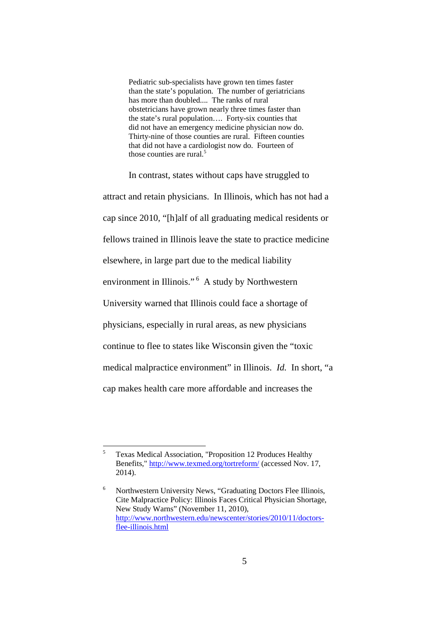Pediatric sub-specialists have grown ten times faster than the state's population. The number of geriatricians has more than doubled.... The ranks of rural obstetricians have grown nearly three times faster than the state's rural population…. Forty-six counties that did not have an emergency medicine physician now do. Thirty-nine of those counties are rural. Fifteen counties that did not have a cardiologist now do. Fourteen of those counties are rural. $5$ 

In contrast, states without caps have struggled to attract and retain physicians. In Illinois, which has not had a cap since 2010, "[h]alf of all graduating medical residents or fellows trained in Illinois leave the state to practice medicine elsewhere, in large part due to the medical liability environment in Illinois." <sup>6</sup> A study by Northwestern University warned that Illinois could face a shortage of physicians, especially in rural areas, as new physicians continue to flee to states like Wisconsin given the "toxic medical malpractice environment" in Illinois. *Id.* In short, "a cap makes health care more affordable and increases the

<sup>5</sup> [Texas Medical Association, "Proposition 12 Produces Healthy](http://www.texmed.org/tortreform/) Benefits," http://www.texmed.org/tortreform/ (accessed Nov. 17, 2014).

<sup>6</sup> Northwestern University News, "Graduating Doctors Flee Illinois, [Cite Malpractice Policy: Illinois Faces Critical Physician Shortage,](http://www.northwestern.edu/newscenter/stories/2010/11/doctors-flee-illinois.html) New Study Warns" (November 11, 2010), http://www.northwestern.edu/newscenter/stories/2010/11/doctorsflee-illinois.html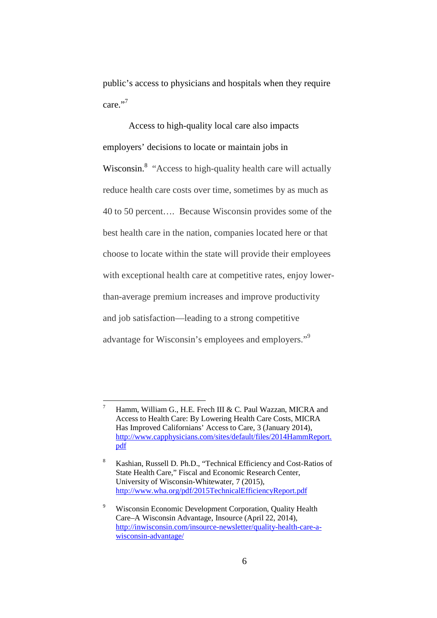public's access to physicians and hospitals when they require care."

Access to high-quality local care also impacts employers' decisions to locate or maintain jobs in Wisconsin.<sup>8</sup> "Access to high-quality health care will actually reduce health care costs over time, sometimes by as much as 40 to 50 percent…. Because Wisconsin provides some of the best health care in the nation, companies located here or that choose to locate within the state will provide their employees with exceptional health care at competitive rates, enjoy lowerthan-average premium increases and improve productivity and job satisfaction—leading to a strong competitive advantage for Wisconsin's employees and employers."<sup>9</sup>

<sup>&</sup>lt;sup>7</sup> Hamm, William G., H.E. Frech III & C. Paul Wazzan, MICRA and Access to Health Care: By Lowering Health Care Costs, MICRA Has Improved Californians' Access to Care, 3 (January 2014), http://www.capphysicians.com/sites/default/files/2014HammReport. pdf

<sup>8</sup> Kashian, Russell D. Ph.D., "Technical Efficiency and Cost-Ratios of State Health Care," Fiscal and Economic Research Center, University of Wisconsin-Whitewater, 7 (2015), http://www.wha.org/pdf/2015TechnicalEfficiencyReport.pdf

Wisconsin Economic Development Corporation, Quality Health Care–A Wisconsin Advantage, Insource (April 22, 2014), [http://inwisconsin.com/insource-newsletter/quality-health-care-a](http://inwisconsin.com/insource-newsletter/quality-health-care-a-wisconsin-advantage/)wisconsin-advantage/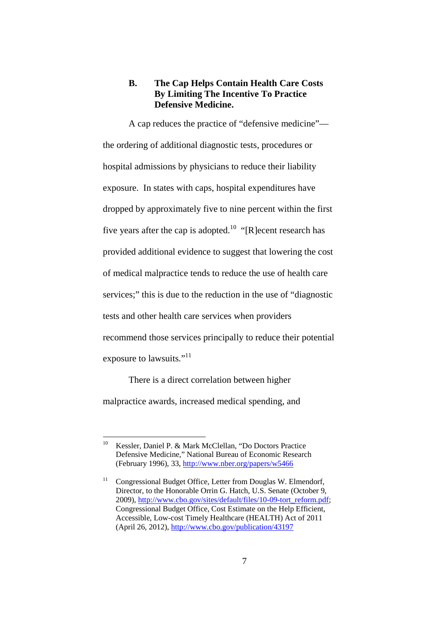#### **B. The Cap Helps Contain Health Care Costs By Limiting The Incentive To Practice Defensive Medicine.**

A cap reduces the practice of "defensive medicine" the ordering of additional diagnostic tests, procedures or hospital admissions by physicians to reduce their liability exposure. In states with caps, hospital expenditures have dropped by approximately five to nine percent within the first five years after the cap is adopted.<sup>10</sup> "[R]ecent research has provided additional evidence to suggest that lowering the cost of medical malpractice tends to reduce the use of health care services;" this is due to the reduction in the use of "diagnostic tests and other health care services when providers recommend those services principally to reduce their potential exposure to lawsuits."<sup>11</sup>

There is a direct correlation between higher malpractice awards, increased medical spending, and

<sup>10</sup> Kessler, Daniel P. & Mark McClellan, "Do Doctors Practice [Defensive Medicine," National Bureau of Economic Research](http://www.nber.org/papers/w5466) (February 1996), 33, http://www.nber.org/papers/w5466

<sup>&</sup>lt;sup>11</sup> Congressional Budget Office, Letter from Douglas W. Elmendorf, Director, to the Honorable Orrin G. Hatch, U.S. Senate (October 9, 2009), http://www.cbo.gov/sites/default/files/10-09-tort\_reform.pdf; Congressional Budget Office, Cost Estimate on the Help Efficient, [Accessible, Low-cost Timely Healthcare \(HEALTH\) Act of 2011](https://www.cbo.gov/publication/43197) (April 26, 2012), http://www.cbo.gov/publication/43197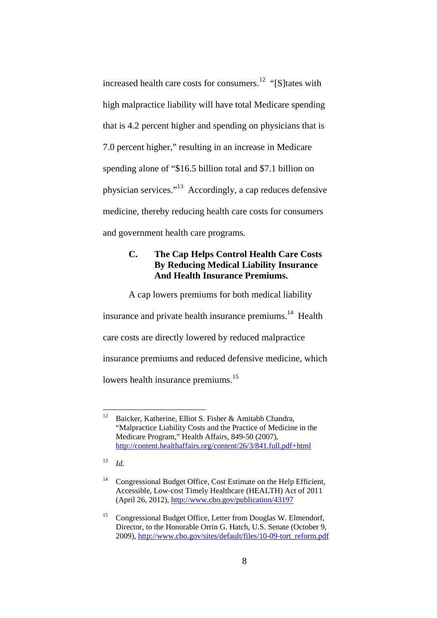increased health care costs for consumers.<sup>12</sup> "[S]tates with high malpractice liability will have total Medicare spending that is 4.2 percent higher and spending on physicians that is 7.0 percent higher," resulting in an increase in Medicare spending alone of "\$16.5 billion total and \$7.1 billion on physician services."<sup>13</sup> Accordingly, a cap reduces defensive medicine, thereby reducing health care costs for consumers and government health care programs.

# **C. The Cap Helps Control Health Care Costs By Reducing Medical Liability Insurance And Health Insurance Premiums.**

A cap lowers premiums for both medical liability insurance and private health insurance premiums.<sup>14</sup> Health care costs are directly lowered by reduced malpractice insurance premiums and reduced defensive medicine, which lowers health insurance premiums.<sup>15</sup>

<sup>12</sup> Baicker, Katherine, Elliot S. Fisher & Amitabh Chandra, "Malpractice Liability Costs and the Practice of Medicine in the Medicare Program," Health Affairs, 849-50 (2007), http://content.healthaffairs.org/content/26/3/841.full.pdf+html

<sup>13</sup> *Id.*

<sup>&</sup>lt;sup>14</sup> Congressional Budget Office, Cost Estimate on the Help Efficient, Accessible, Low-cost Timely Healthcare (HEALTH) Act of 2011 (April 26, 2012), http://www.cbo.gov/publication/43197

<sup>&</sup>lt;sup>15</sup> Congressional Budget Office, Letter from Douglas W. Elmendorf, Director, to the Honorable Orrin G. Hatch, U.S. Senate (October 9, 2009), http://www.cbo.gov/sites/default/files/10-09-tort\_reform.pdf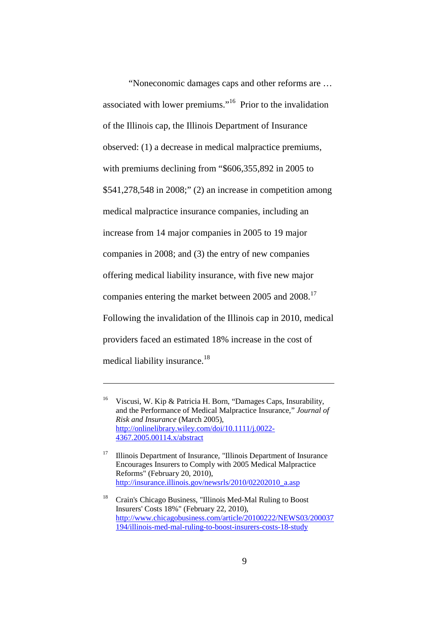"Noneconomic damages caps and other reforms are … associated with lower premiums."<sup>16</sup> Prior to the invalidation of the Illinois cap, the Illinois Department of Insurance observed: (1) a decrease in medical malpractice premiums, with premiums declining from "\$606,355,892 in 2005 to \$541,278,548 in 2008;" (2) an increase in competition among medical malpractice insurance companies, including an increase from 14 major companies in 2005 to 19 major companies in 2008; and (3) the entry of new companies offering medical liability insurance, with five new major companies entering the market between 2005 and 2008.<sup>17</sup> Following the invalidation of the Illinois cap in 2010, medical providers faced an estimated 18% increase in the cost of medical liability insurance.<sup>18</sup>

<sup>16</sup> [Viscusi, W. Kip & Patricia H. Born, "Damages Caps, Insurability,](http://onlinelibrary.wiley.com/doi/10.1111/j.0022-4367.2005.00114.x/abstract) and the Performance of Medical Malpractice Insurance," *Journal of Risk and Insurance* (March 2005), http://onlinelibrary.wiley.com/doi/10.1111/j.0022- 4367.2005.00114.x/abstract

<sup>&</sup>lt;sup>17</sup> [Illinois Department of Insurance, "Illinois Department of Insurance](http://insurance2.illinois.gov/newsrls/2010/02202010_a.asp) Encourages Insurers to Comply with 2005 Medical Malpractice Reforms" (February 20, 2010), http://insurance.illinois.gov/newsrls/2010/02202010\_a.asp

<sup>18</sup> Crain's Chicago Business, "Illinois Med-Mal Ruling to Boost Insurers' Costs 18%" (February 22, 2010), [http://www.chicagobusiness.com/article/20100222/NEWS03/200037](http://www.chicagobusiness.com/article/20100222/NEWS03/200037194/illinois-med-mal-ruling-to-boost-insurers-costs-18-study) 194/illinois-med-mal-ruling-to-boost-insurers-costs-18-study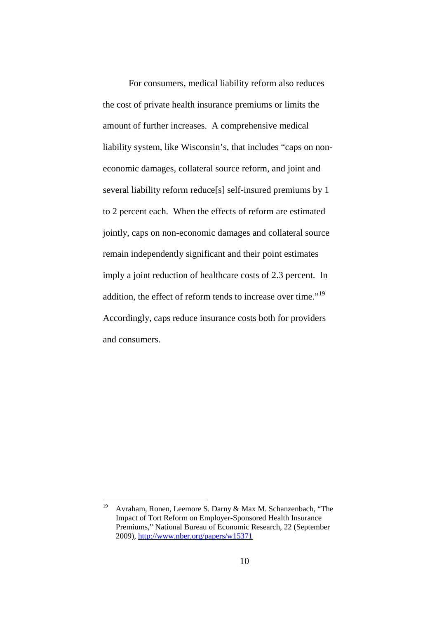For consumers, medical liability reform also reduces the cost of private health insurance premiums or limits the amount of further increases. A comprehensive medical liability system, like Wisconsin's, that includes "caps on noneconomic damages, collateral source reform, and joint and several liability reform reduce[s] self-insured premiums by 1 to 2 percent each. When the effects of reform are estimated jointly, caps on non-economic damages and collateral source remain independently significant and their point estimates imply a joint reduction of healthcare costs of 2.3 percent. In addition, the effect of reform tends to increase over time."<sup>19</sup> Accordingly, caps reduce insurance costs both for providers and consumers.

<sup>19</sup> Avraham, Ronen, Leemore S. Darny & Max M. Schanzenbach, "The Impact of Tort Reform on Employer-Sponsored Health Insurance [Premiums," National Bureau of Economic Research, 22 \(September](http://www.nber.org/papers/w15371) 2009), http://www.nber.org/papers/w15371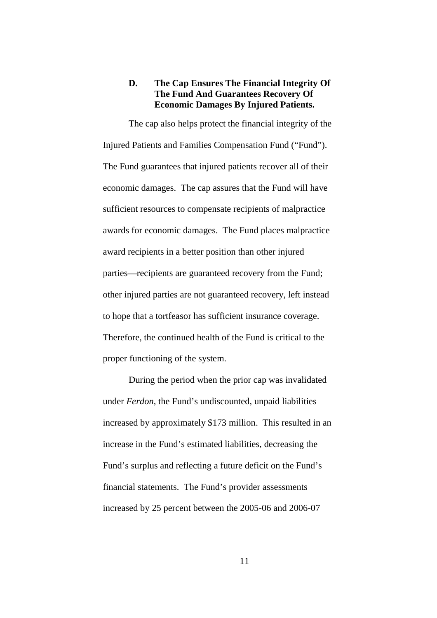#### **D. The Cap Ensures The Financial Integrity Of The Fund And Guarantees Recovery Of Economic Damages By Injured Patients.**

The cap also helps protect the financial integrity of the Injured Patients and Families Compensation Fund ("Fund"). The Fund guarantees that injured patients recover all of their economic damages. The cap assures that the Fund will have sufficient resources to compensate recipients of malpractice awards for economic damages. The Fund places malpractice award recipients in a better position than other injured parties—recipients are guaranteed recovery from the Fund; other injured parties are not guaranteed recovery, left instead to hope that a tortfeasor has sufficient insurance coverage. Therefore, the continued health of the Fund is critical to the proper functioning of the system.

During the period when the prior cap was invalidated under *Ferdon*, the Fund's undiscounted, unpaid liabilities increased by approximately \$173 million. This resulted in an increase in the Fund's estimated liabilities, decreasing the Fund's surplus and reflecting a future deficit on the Fund's financial statements. The Fund's provider assessments increased by 25 percent between the 2005-06 and 2006-07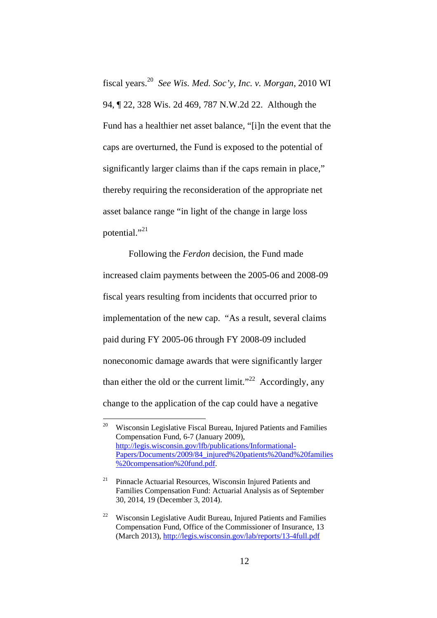fiscal years.<sup>20</sup> *See Wis. Med. Soc'y, Inc. v. Morgan*, 2010 WI 94, ¶ 22, 328 Wis. 2d 469, 787 N.W.2d 22. Although the Fund has a healthier net asset balance, "[i]n the event that the caps are overturned, the Fund is exposed to the potential of significantly larger claims than if the caps remain in place," thereby requiring the reconsideration of the appropriate net asset balance range "in light of the change in large loss potential."<sup>21</sup>

Following the *Ferdon* decision, the Fund made increased claim payments between the 2005-06 and 2008-09 fiscal years resulting from incidents that occurred prior to implementation of the new cap. "As a result, several claims paid during FY 2005-06 through FY 2008-09 included noneconomic damage awards that were significantly larger than either the old or the current limit."<sup>22</sup> Accordingly, any change to the application of the cap could have a negative

<sup>20</sup> Wisconsin Legislative Fiscal Bureau, Injured Patients and Families Compensation Fund, 6-7 (January 2009), http://legis.wisconsin.gov/lfb/publications/Informational-Papers/Documents/2009/84\_injured%20patients%20and%20families %20compensation%20fund.pdf.

 $21$  Pinnacle Actuarial Resources, Wisconsin Injured Patients and Families Compensation Fund: Actuarial Analysis as of September 30, 2014, 19 (December 3, 2014).

<sup>&</sup>lt;sup>22</sup> Wisconsin Legislative Audit Bureau, Injured Patients and Families Compensation Fund, Office of the Commissioner of Insurance, 13 (March 2013), http://legis.wisconsin.gov/lab/reports/13-4full.pdf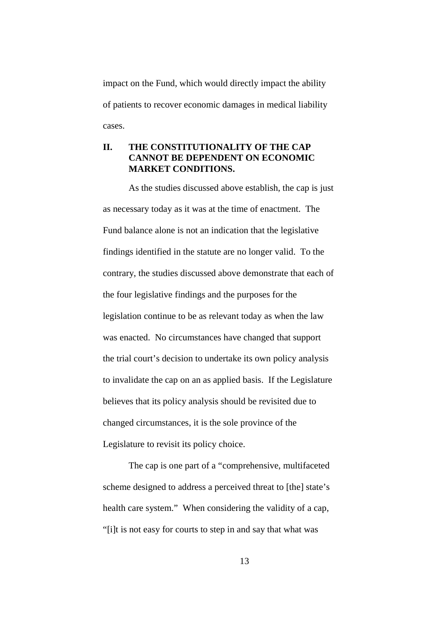impact on the Fund, which would directly impact the ability of patients to recover economic damages in medical liability cases.

# **II. THE CONSTITUTIONALITY OF THE CAP CANNOT BE DEPENDENT ON ECONOMIC MARKET CONDITIONS.**

As the studies discussed above establish, the cap is just as necessary today as it was at the time of enactment. The Fund balance alone is not an indication that the legislative findings identified in the statute are no longer valid. To the contrary, the studies discussed above demonstrate that each of the four legislative findings and the purposes for the legislation continue to be as relevant today as when the law was enacted. No circumstances have changed that support the trial court's decision to undertake its own policy analysis to invalidate the cap on an as applied basis. If the Legislature believes that its policy analysis should be revisited due to changed circumstances, it is the sole province of the Legislature to revisit its policy choice.

The cap is one part of a "comprehensive, multifaceted scheme designed to address a perceived threat to [the] state's health care system." When considering the validity of a cap, "[i]t is not easy for courts to step in and say that what was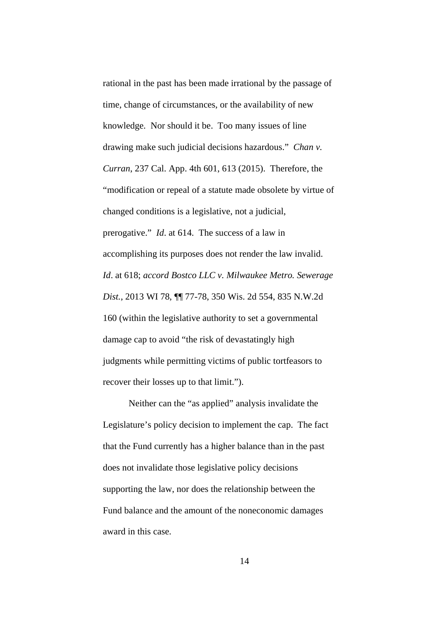rational in the past has been made irrational by the passage of time, change of circumstances, or the availability of new knowledge. Nor should it be. Too many issues of line drawing make such judicial decisions hazardous." *Chan v. Curran*, 237 Cal. App. 4th 601, 613 (2015). Therefore, the "modification or repeal of a statute made obsolete by virtue of changed conditions is a legislative, not a judicial, prerogative." *Id*. at 614. The success of a law in accomplishing its purposes does not render the law invalid. *Id*. at 618; *accord Bostco LLC v. Milwaukee Metro. Sewerage Dist.*, 2013 WI 78, ¶¶ 77-78, 350 Wis. 2d 554, 835 N.W.2d 160 (within the legislative authority to set a governmental damage cap to avoid "the risk of devastatingly high judgments while permitting victims of public tortfeasors to recover their losses up to that limit.").

Neither can the "as applied" analysis invalidate the Legislature's policy decision to implement the cap. The fact that the Fund currently has a higher balance than in the past does not invalidate those legislative policy decisions supporting the law, nor does the relationship between the Fund balance and the amount of the noneconomic damages award in this case.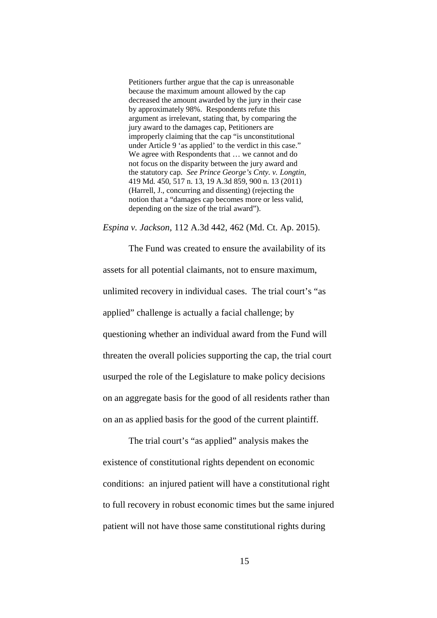Petitioners further argue that the cap is unreasonable because the maximum amount allowed by the cap decreased the amount awarded by the jury in their case by approximately 98%. Respondents refute this argument as irrelevant, stating that, by comparing the jury award to the damages cap, Petitioners are improperly claiming that the cap "is unconstitutional under Article 9 'as applied' to the verdict in this case." We agree with Respondents that … we cannot and do not focus on the disparity between the jury award and the statutory cap. *See Prince George's Cnty. v. Longtin*, 419 Md. 450, 517 n. 13, 19 A.3d 859, 900 n. 13 (2011) (Harrell, J., concurring and dissenting) (rejecting the notion that a "damages cap becomes more or less valid, depending on the size of the trial award").

*Espina v. Jackson*, 112 A.3d 442, 462 (Md. Ct. Ap. 2015).

The Fund was created to ensure the availability of its assets for all potential claimants, not to ensure maximum, unlimited recovery in individual cases. The trial court's "as applied" challenge is actually a facial challenge; by questioning whether an individual award from the Fund will threaten the overall policies supporting the cap, the trial court usurped the role of the Legislature to make policy decisions on an aggregate basis for the good of all residents rather than on an as applied basis for the good of the current plaintiff.

The trial court's "as applied" analysis makes the existence of constitutional rights dependent on economic conditions: an injured patient will have a constitutional right to full recovery in robust economic times but the same injured patient will not have those same constitutional rights during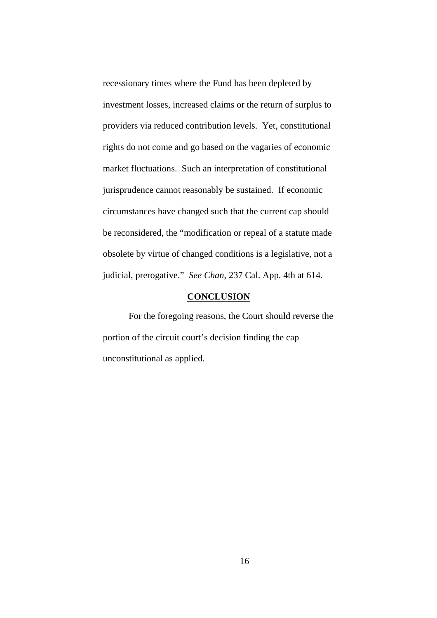recessionary times where the Fund has been depleted by investment losses, increased claims or the return of surplus to providers via reduced contribution levels. Yet, constitutional rights do not come and go based on the vagaries of economic market fluctuations. Such an interpretation of constitutional jurisprudence cannot reasonably be sustained. If economic circumstances have changed such that the current cap should be reconsidered, the "modification or repeal of a statute made obsolete by virtue of changed conditions is a legislative, not a judicial, prerogative." *See Chan*, 237 Cal. App. 4th at 614.

#### **CONCLUSION**

For the foregoing reasons, the Court should reverse the portion of the circuit court's decision finding the cap unconstitutional as applied.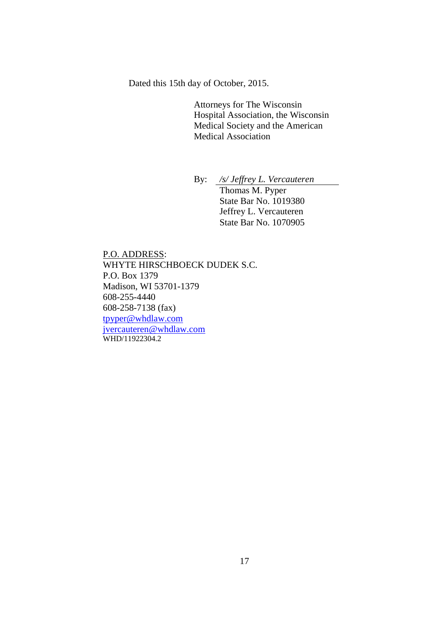Dated this 15th day of October, 2015.

Attorneys for The Wisconsin Hospital Association, the Wisconsin Medical Society and the American Medical Association

By: */s/ Jeffrey L. Vercauteren* Thomas M. Pyper State Bar No. 1019380 Jeffrey L. Vercauteren State Bar No. 1070905

P.O. ADDRESS: WHYTE HIRSCHBOECK DUDEK S.C. P.O. Box 1379 Madison, WI 53701-1379 608-255-4440 608-258-7138 (fax) tpyper@whdlaw.com jvercauteren@whdlaw.com WHD/11922304.2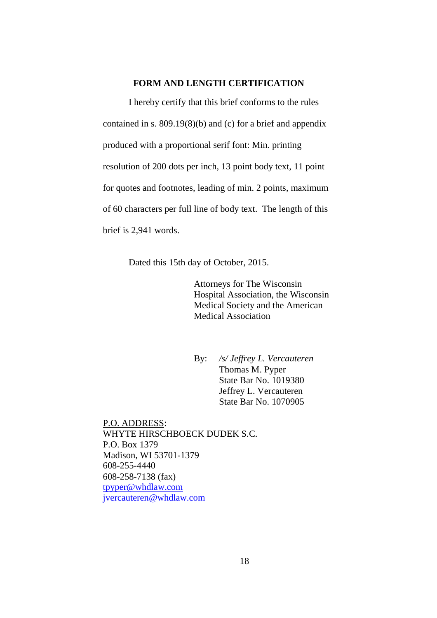#### **FORM AND LENGTH CERTIFICATION**

I hereby certify that this brief conforms to the rules contained in s. 809.19(8)(b) and (c) for a brief and appendix produced with a proportional serif font: Min. printing resolution of 200 dots per inch, 13 point body text, 11 point for quotes and footnotes, leading of min. 2 points, maximum of 60 characters per full line of body text. The length of this brief is 2,941 words.

Dated this 15th day of October, 2015.

Attorneys for The Wisconsin Hospital Association, the Wisconsin Medical Society and the American Medical Association

By: */s/ Jeffrey L. Vercauteren* Thomas M. Pyper State Bar No. 1019380 Jeffrey L. Vercauteren State Bar No. 1070905

P.O. ADDRESS: WHYTE HIRSCHBOECK DUDEK S.C. P.O. Box 1379 Madison, WI 53701-1379 608-255-4440 608-258-7138 (fax) tpyper@whdlaw.com jvercauteren@whdlaw.com